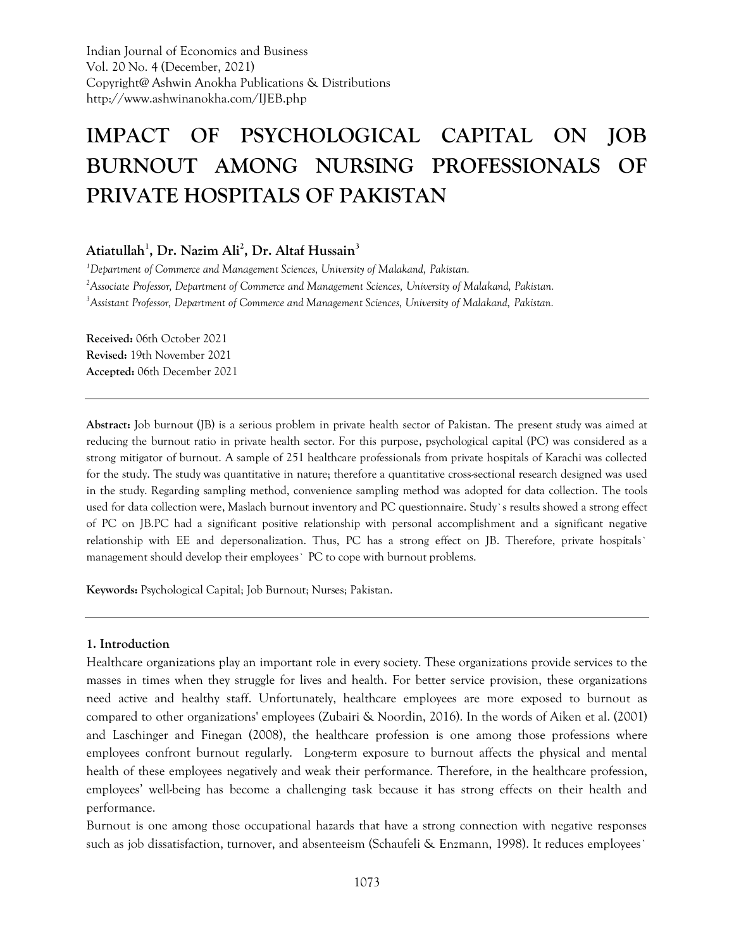Indian Journal of Economics and Business Vol. 20 No. 4 (December, 2021) Copyright@ Ashwin Anokha Publications & Distributions http://www.ashwinanokha.com/IJEB.php

# **IMPACT OF PSYCHOLOGICAL CAPITAL ON JOB BURNOUT AMONG NURSING PROFESSIONALS OF PRIVATE HOSPITALS OF PAKISTAN**

# **Atiatullah<sup>1</sup> , Dr. Nazim Ali<sup>2</sup> , Dr. Altaf Hussain<sup>3</sup>**

*<sup>1</sup>Department of Commerce and Management Sciences, University of Malakand, Pakistan. <sup>2</sup>Associate Professor, Department of Commerce and Management Sciences, University of Malakand, Pakistan. <sup>3</sup>Assistant Professor, Department of Commerce and Management Sciences, University of Malakand, Pakistan.*

**Received:** 06th October 2021 **Revised:** 19th November 2021 **Accepted:** 06th December 2021

**Abstract:** Job burnout (JB) is a serious problem in private health sector of Pakistan. The present study was aimed at reducing the burnout ratio in private health sector. For this purpose, psychological capital (PC) was considered as a strong mitigator of burnout. A sample of 251 healthcare professionals from private hospitals of Karachi was collected for the study. The study was quantitative in nature; therefore a quantitative cross-sectional research designed was used in the study. Regarding sampling method, convenience sampling method was adopted for data collection. The tools used for data collection were, Maslach burnout inventory and PC questionnaire. Study`s results showed a strong effect of PC on JB.PC had a significant positive relationship with personal accomplishment and a significant negative relationship with EE and depersonalization. Thus, PC has a strong effect on JB. Therefore, private hospitals` management should develop their employees` PC to cope with burnout problems.

**Keywords:** Psychological Capital; Job Burnout; Nurses; Pakistan.

#### **1. Introduction**

Healthcare organizations play an important role in every society. These organizations provide services to the masses in times when they struggle for lives and health. For better service provision, these organizations need active and healthy staff. Unfortunately, healthcare employees are more exposed to burnout as compared to other organizations' employees (Zubairi & Noordin, 2016). In the words of Aiken et al. (2001) and Laschinger and Finegan (2008), the healthcare profession is one among those professions where employees confront burnout regularly. Long-term exposure to burnout affects the physical and mental health of these employees negatively and weak their performance. Therefore, in the healthcare profession, employees' well-being has become a challenging task because it has strong effects on their health and performance.

Burnout is one among those occupational hazards that have a strong connection with negative responses such as job dissatisfaction, turnover, and absenteeism (Schaufeli & Enzmann, 1998). It reduces employees`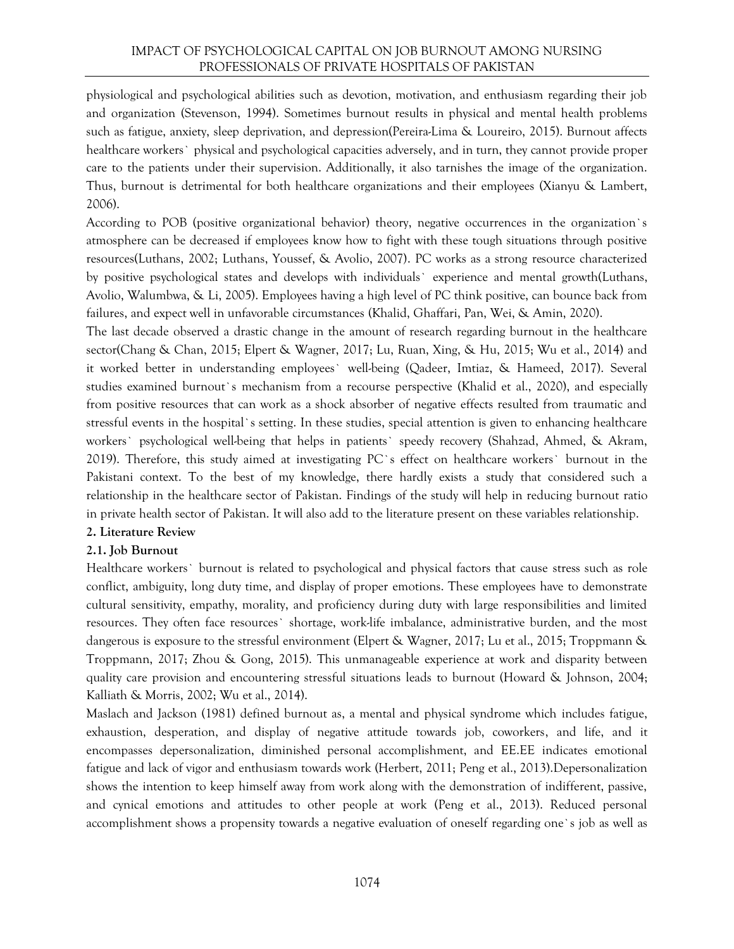physiological and psychological abilities such as devotion, motivation, and enthusiasm regarding their job and organization (Stevenson, 1994). Sometimes burnout results in physical and mental health problems such as fatigue, anxiety, sleep deprivation, and depression(Pereira-Lima & Loureiro, 2015). Burnout affects healthcare workers` physical and psychological capacities adversely, and in turn, they cannot provide proper care to the patients under their supervision. Additionally, it also tarnishes the image of the organization. Thus, burnout is detrimental for both healthcare organizations and their employees (Xianyu & Lambert, 2006).

According to POB (positive organizational behavior) theory, negative occurrences in the organization`s atmosphere can be decreased if employees know how to fight with these tough situations through positive resources(Luthans, 2002; Luthans, Youssef, & Avolio, 2007). PC works as a strong resource characterized by positive psychological states and develops with individuals` experience and mental growth(Luthans, Avolio, Walumbwa, & Li, 2005). Employees having a high level of PC think positive, can bounce back from failures, and expect well in unfavorable circumstances (Khalid, Ghaffari, Pan, Wei, & Amin, 2020).

The last decade observed a drastic change in the amount of research regarding burnout in the healthcare sector(Chang & Chan, 2015; Elpert & Wagner, 2017; Lu, Ruan, Xing, & Hu, 2015; Wu et al., 2014) and it worked better in understanding employees` well-being (Qadeer, Imtiaz, & Hameed, 2017). Several studies examined burnout`s mechanism from a recourse perspective (Khalid et al., 2020), and especially from positive resources that can work as a shock absorber of negative effects resulted from traumatic and stressful events in the hospital`s setting. In these studies, special attention is given to enhancing healthcare workers` psychological well-being that helps in patients` speedy recovery (Shahzad, Ahmed, & Akram, 2019). Therefore, this study aimed at investigating PC`s effect on healthcare workers` burnout in the Pakistani context. To the best of my knowledge, there hardly exists a study that considered such a relationship in the healthcare sector of Pakistan. Findings of the study will help in reducing burnout ratio in private health sector of Pakistan. It will also add to the literature present on these variables relationship.

# **2. Literature Review**

# **2.1. Job Burnout**

Healthcare workers` burnout is related to psychological and physical factors that cause stress such as role conflict, ambiguity, long duty time, and display of proper emotions. These employees have to demonstrate cultural sensitivity, empathy, morality, and proficiency during duty with large responsibilities and limited resources. They often face resources` shortage, work-life imbalance, administrative burden, and the most dangerous is exposure to the stressful environment (Elpert & Wagner, 2017; Lu et al., 2015; Troppmann & Troppmann, 2017; Zhou & Gong, 2015). This unmanageable experience at work and disparity between quality care provision and encountering stressful situations leads to burnout (Howard & Johnson, 2004; Kalliath & Morris, 2002; Wu et al., 2014).

Maslach and Jackson (1981) defined burnout as, a mental and physical syndrome which includes fatigue, exhaustion, desperation, and display of negative attitude towards job, coworkers, and life, and it encompasses depersonalization, diminished personal accomplishment, and EE.EE indicates emotional fatigue and lack of vigor and enthusiasm towards work (Herbert, 2011; Peng et al., 2013).Depersonalization shows the intention to keep himself away from work along with the demonstration of indifferent, passive, and cynical emotions and attitudes to other people at work (Peng et al., 2013). Reduced personal accomplishment shows a propensity towards a negative evaluation of oneself regarding one`s job as well as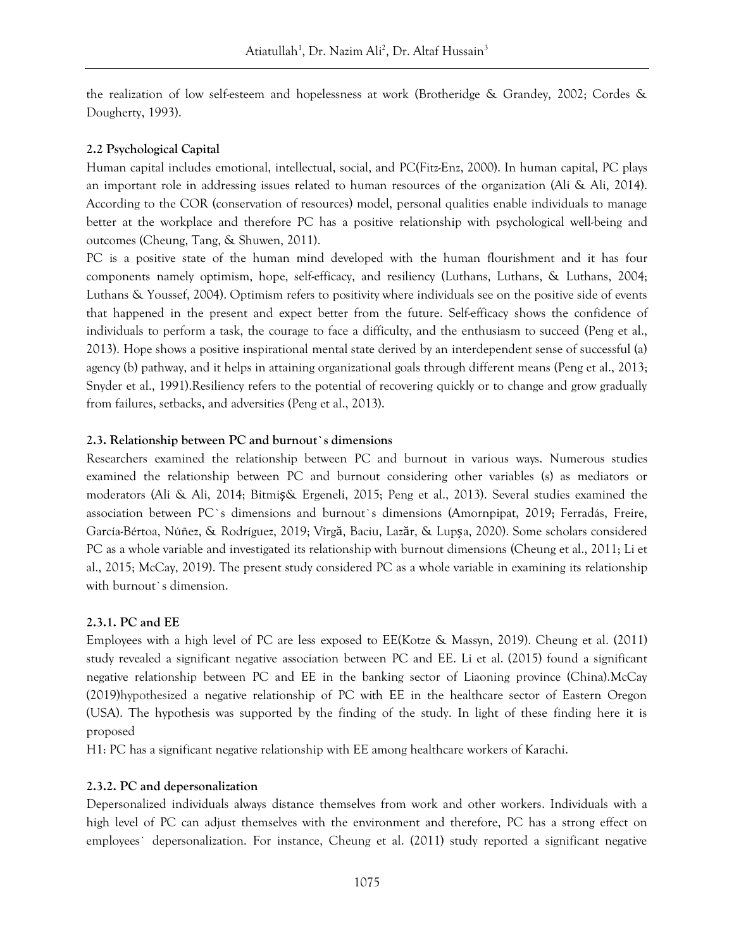the realization of low self-esteem and hopelessness at work (Brotheridge & Grandey, 2002; Cordes & Dougherty, 1993).

#### **2.2 Psychological Capital**

Human capital includes emotional, intellectual, social, and PC(Fitz-Enz, 2000). In human capital, PC plays an important role in addressing issues related to human resources of the organization (Ali & Ali, 2014). According to the COR (conservation of resources) model, personal qualities enable individuals to manage better at the workplace and therefore PC has a positive relationship with psychological well-being and outcomes (Cheung, Tang, & Shuwen, 2011).

PC is a positive state of the human mind developed with the human flourishment and it has four components namely optimism, hope, self-efficacy, and resiliency (Luthans, Luthans, & Luthans, 2004; Luthans & Youssef, 2004). Optimism refers to positivity where individuals see on the positive side of events that happened in the present and expect better from the future. Self-efficacy shows the confidence of individuals to perform a task, the courage to face a difficulty, and the enthusiasm to succeed (Peng et al., 2013). Hope shows a positive inspirational mental state derived by an interdependent sense of successful (a) agency (b) pathway, and it helps in attaining organizational goals through different means (Peng et al., 2013; Snyder et al., 1991).Resiliency refers to the potential of recovering quickly or to change and grow gradually from failures, setbacks, and adversities (Peng et al., 2013).

## **2.3. Relationship between PC and burnout`s dimensions**

Researchers examined the relationship between PC and burnout in various ways. Numerous studies examined the relationship between PC and burnout considering other variables (s) as mediators or moderators (Ali & Ali, 2014; Bitmiş& Ergeneli, 2015; Peng et al., 2013). Several studies examined the association between PC`s dimensions and burnout`s dimensions (Amornpipat, 2019; Ferradás, Freire, García-Bértoa, Núñez, & Rodríguez, 2019; Vîrgă, Baciu, Lazăr, & Lupșa, 2020). Some scholars considered PC as a whole variable and investigated its relationship with burnout dimensions (Cheung et al., 2011; Li et al., 2015; McCay, 2019). The present study considered PC as a whole variable in examining its relationship with burnout`s dimension.

#### **2.3.1. PC and EE**

Employees with a high level of PC are less exposed to EE(Kotze & Massyn, 2019). Cheung et al. (2011) study revealed a significant negative association between PC and EE. Li et al. (2015) found a significant negative relationship between PC and EE in the banking sector of Liaoning province (China).McCay (2019)hypothesized a negative relationship of PC with EE in the healthcare sector of Eastern Oregon (USA). The hypothesis was supported by the finding of the study. In light of these finding here it is proposed

H1: PC has a significant negative relationship with EE among healthcare workers of Karachi.

#### **2.3.2. PC and depersonalization**

Depersonalized individuals always distance themselves from work and other workers. Individuals with a high level of PC can adjust themselves with the environment and therefore, PC has a strong effect on employees` depersonalization. For instance, Cheung et al. (2011) study reported a significant negative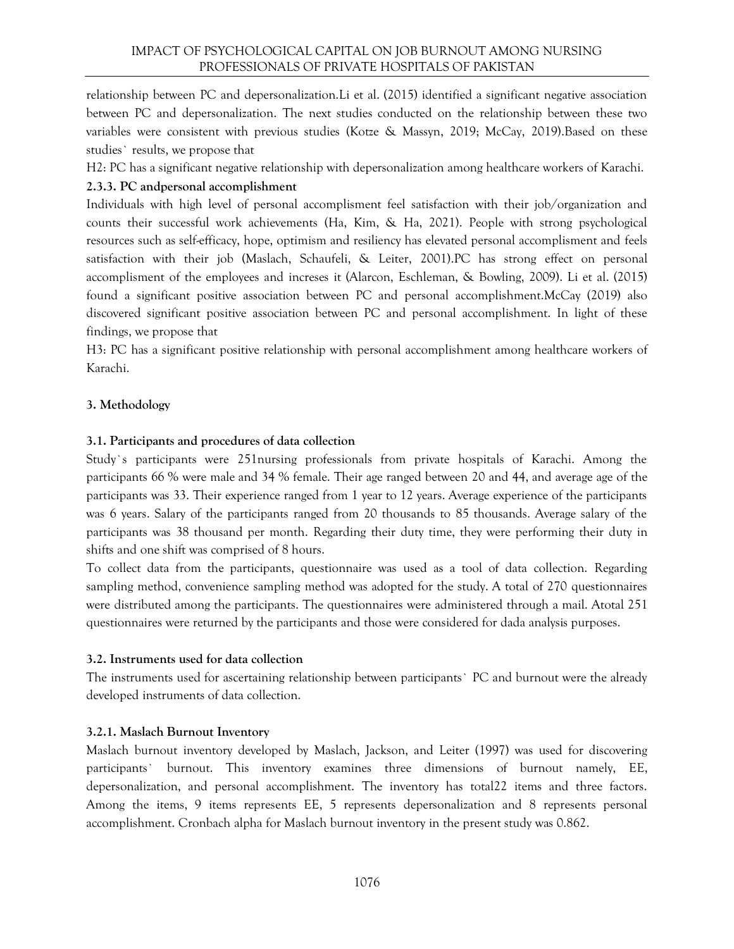relationship between PC and depersonalization.Li et al. (2015) identified a significant negative association between PC and depersonalization. The next studies conducted on the relationship between these two variables were consistent with previous studies (Kotze & Massyn, 2019; McCay, 2019).Based on these studies` results, we propose that

H2: PC has a significant negative relationship with depersonalization among healthcare workers of Karachi.

## **2.3.3. PC andpersonal accomplishment**

Individuals with high level of personal accomplisment feel satisfaction with their job/organization and counts their successful work achievements (Ha, Kim, & Ha, 2021). People with strong psychological resources such as self-efficacy, hope, optimism and resiliency has elevated personal accomplisment and feels satisfaction with their job (Maslach, Schaufeli, & Leiter, 2001).PC has strong effect on personal accomplisment of the employees and increses it (Alarcon, Eschleman, & Bowling, 2009). Li et al. (2015) found a significant positive association between PC and personal accomplishment.McCay (2019) also discovered significant positive association between PC and personal accomplishment. In light of these findings, we propose that

H3: PC has a significant positive relationship with personal accomplishment among healthcare workers of Karachi.

## **3. Methodology**

## **3.1. Participants and procedures of data collection**

Study`s participants were 251nursing professionals from private hospitals of Karachi. Among the participants 66 % were male and 34 % female. Their age ranged between 20 and 44, and average age of the participants was 33. Their experience ranged from 1 year to 12 years. Average experience of the participants was 6 years. Salary of the participants ranged from 20 thousands to 85 thousands. Average salary of the participants was 38 thousand per month. Regarding their duty time, they were performing their duty in shifts and one shift was comprised of 8 hours.

To collect data from the participants, questionnaire was used as a tool of data collection. Regarding sampling method, convenience sampling method was adopted for the study. A total of 270 questionnaires were distributed among the participants. The questionnaires were administered through a mail. Atotal 251 questionnaires were returned by the participants and those were considered for dada analysis purposes.

#### **3.2. Instruments used for data collection**

The instruments used for ascertaining relationship between participants` PC and burnout were the already developed instruments of data collection.

#### **3.2.1. Maslach Burnout Inventory**

Maslach burnout inventory developed by Maslach, Jackson, and Leiter (1997) was used for discovering participants` burnout. This inventory examines three dimensions of burnout namely, EE, depersonalization, and personal accomplishment. The inventory has total22 items and three factors. Among the items, 9 items represents EE, 5 represents depersonalization and 8 represents personal accomplishment. Cronbach alpha for Maslach burnout inventory in the present study was 0.862.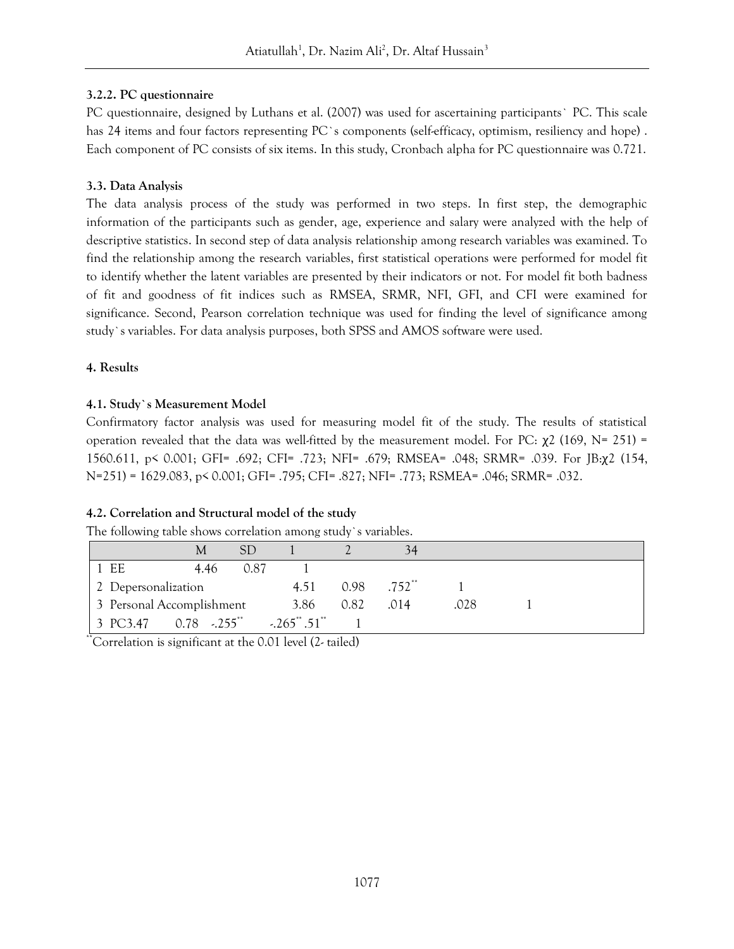# **3.2.2. PC questionnaire**

PC questionnaire, designed by Luthans et al. (2007) was used for ascertaining participants` PC. This scale has 24 items and four factors representing PC`s components (self-efficacy, optimism, resiliency and hope) . Each component of PC consists of six items. In this study, Cronbach alpha for PC questionnaire was 0.721.

## **3.3. Data Analysis**

The data analysis process of the study was performed in two steps. In first step, the demographic information of the participants such as gender, age, experience and salary were analyzed with the help of descriptive statistics. In second step of data analysis relationship among research variables was examined. To find the relationship among the research variables, first statistical operations were performed for model fit to identify whether the latent variables are presented by their indicators or not. For model fit both badness of fit and goodness of fit indices such as RMSEA, SRMR, NFI, GFI, and CFI were examined for significance. Second, Pearson correlation technique was used for finding the level of significance among study`s variables. For data analysis purposes, both SPSS and AMOS software were used.

## **4. Results**

# **4.1. Study`s Measurement Model**

Confirmatory factor analysis was used for measuring model fit of the study. The results of statistical operation revealed that the data was well-fitted by the measurement model. For PC:  $χ2$  (169, N= 251) = 1560.611, p< 0.001; GFI= .692; CFI= .723; NFI= .679; RMSEA= .048; SRMR= .039. For JB:χ2 (154, N=251) = 1629.083, p< 0.001; GFI= .795; CFI= .827; NFI= .773; RSMEA= .046; SRMR= .032.

# **4.2. Correlation and Structural model of the study**

| The following table shows correlation among study's variables. |  |
|----------------------------------------------------------------|--|
|----------------------------------------------------------------|--|

|                                                 | M    | SD   |                  |      | 34                        |      |  |
|-------------------------------------------------|------|------|------------------|------|---------------------------|------|--|
| $1$ EE                                          | 4.46 | 0.87 |                  |      |                           |      |  |
| 2 Depersonalization                             |      |      | 4.51             |      | $0.98$ .752 <sup>**</sup> |      |  |
| 3 Personal Accomplishment                       |      |      | 3.86             | 0.82 | .014                      | .028 |  |
| $\vert$ 3 PC3.47 0.78 $\cdot$ 255 <sup>**</sup> |      |      | $-.265$ **.51 ** |      |                           |      |  |

\*\*Correlation is significant at the 0.01 level (2- tailed)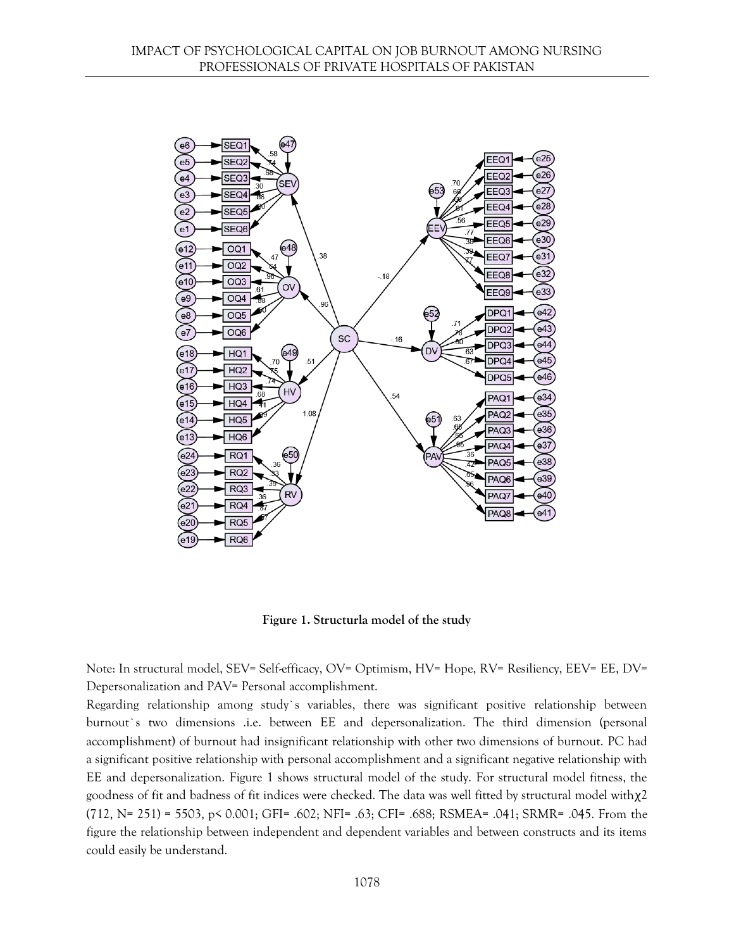

**Figure 1. Structurla model of the study**

Note: In structural model, SEV= Self-efficacy, OV= Optimism, HV= Hope, RV= Resiliency, EEV= EE, DV= Depersonalization and PAV= Personal accomplishment.

Regarding relationship among study`s variables, there was significant positive relationship between burnout`s two dimensions .i.e. between EE and depersonalization. The third dimension (personal accomplishment) of burnout had insignificant relationship with other two dimensions of burnout. PC had a significant positive relationship with personal accomplishment and a significant negative relationship with EE and depersonalization. Figure 1 shows structural model of the study. For structural model fitness, the goodness of fit and badness of fit indices were checked. The data was well fitted by structural model withχ2 (712, N= 251) = 5503, p< 0.001; GFI= .602; NFI= .63; CFI= .688; RSMEA= .041; SRMR= .045. From the figure the relationship between independent and dependent variables and between constructs and its items could easily be understand.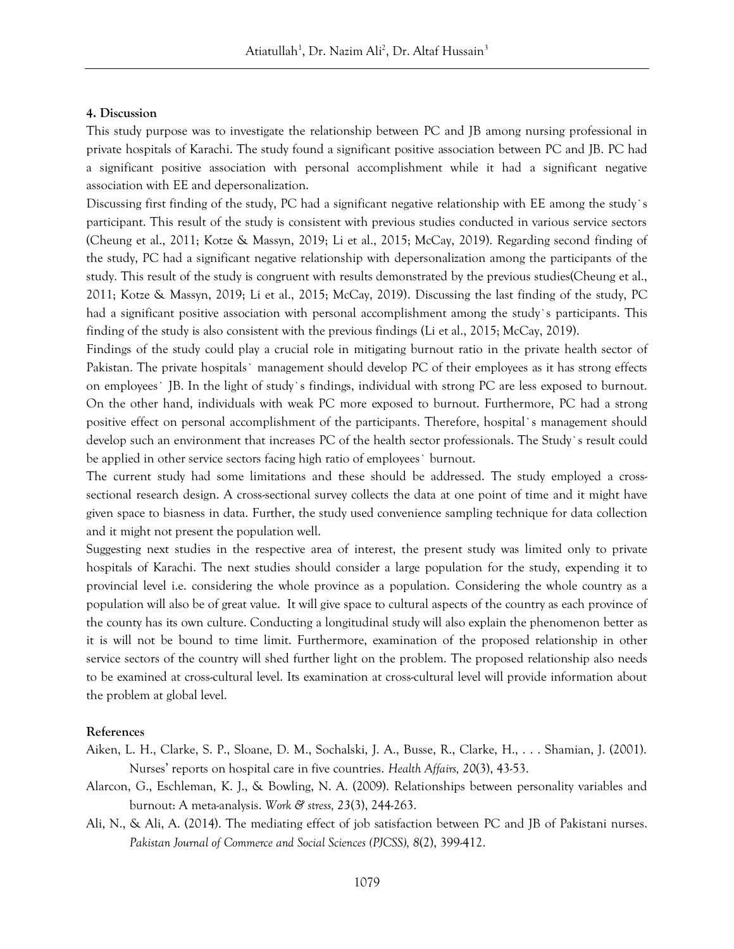#### **4. Discussion**

This study purpose was to investigate the relationship between PC and JB among nursing professional in private hospitals of Karachi. The study found a significant positive association between PC and JB. PC had a significant positive association with personal accomplishment while it had a significant negative association with EE and depersonalization.

Discussing first finding of the study, PC had a significant negative relationship with EE among the study`s participant. This result of the study is consistent with previous studies conducted in various service sectors (Cheung et al., 2011; Kotze & Massyn, 2019; Li et al., 2015; McCay, 2019). Regarding second finding of the study, PC had a significant negative relationship with depersonalization among the participants of the study. This result of the study is congruent with results demonstrated by the previous studies(Cheung et al., 2011; Kotze & Massyn, 2019; Li et al., 2015; McCay, 2019). Discussing the last finding of the study, PC had a significant positive association with personal accomplishment among the study`s participants. This finding of the study is also consistent with the previous findings (Li et al., 2015; McCay, 2019).

Findings of the study could play a crucial role in mitigating burnout ratio in the private health sector of Pakistan. The private hospitals` management should develop PC of their employees as it has strong effects on employees` JB. In the light of study`s findings, individual with strong PC are less exposed to burnout. On the other hand, individuals with weak PC more exposed to burnout. Furthermore, PC had a strong positive effect on personal accomplishment of the participants. Therefore, hospital`s management should develop such an environment that increases PC of the health sector professionals. The Study`s result could be applied in other service sectors facing high ratio of employees` burnout.

The current study had some limitations and these should be addressed. The study employed a crosssectional research design. A cross-sectional survey collects the data at one point of time and it might have given space to biasness in data. Further, the study used convenience sampling technique for data collection and it might not present the population well.

Suggesting next studies in the respective area of interest, the present study was limited only to private hospitals of Karachi. The next studies should consider a large population for the study, expending it to provincial level i.e. considering the whole province as a population. Considering the whole country as a population will also be of great value. It will give space to cultural aspects of the country as each province of the county has its own culture. Conducting a longitudinal study will also explain the phenomenon better as it is will not be bound to time limit. Furthermore, examination of the proposed relationship in other service sectors of the country will shed further light on the problem. The proposed relationship also needs to be examined at cross-cultural level. Its examination at cross-cultural level will provide information about the problem at global level.

#### **References**

- Aiken, L. H., Clarke, S. P., Sloane, D. M., Sochalski, J. A., Busse, R., Clarke, H., . . . Shamian, J. (2001). Nurses' reports on hospital care in five countries. *Health Affairs, 20*(3), 43-53.
- Alarcon, G., Eschleman, K. J., & Bowling, N. A. (2009). Relationships between personality variables and burnout: A meta-analysis. *Work & stress, 23*(3), 244-263.
- Ali, N., & Ali, A. (2014). The mediating effect of job satisfaction between PC and JB of Pakistani nurses. *Pakistan Journal of Commerce and Social Sciences (PJCSS), 8*(2), 399-412.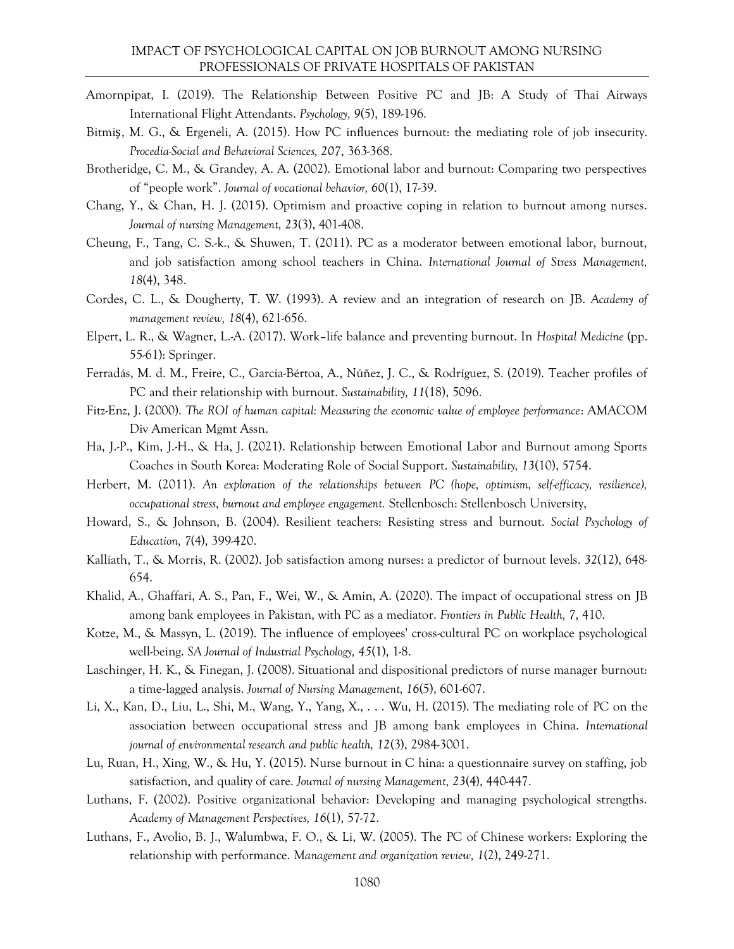- Amornpipat, I. (2019). The Relationship Between Positive PC and JB: A Study of Thai Airways International Flight Attendants. *Psychology, 9*(5), 189-196.
- Bitmiş, M. G., & Ergeneli, A. (2015). How PC influences burnout: the mediating role of job insecurity. *Procedia-Social and Behavioral Sciences, 207*, 363-368.
- Brotheridge, C. M., & Grandey, A. A. (2002). Emotional labor and burnout: Comparing two perspectives of "people work". *Journal of vocational behavior, 60*(1), 17-39.
- Chang, Y., & Chan, H. J. (2015). Optimism and proactive coping in relation to burnout among nurses. *Journal of nursing Management, 23*(3), 401-408.
- Cheung, F., Tang, C. S.-k., & Shuwen, T. (2011). PC as a moderator between emotional labor, burnout, and job satisfaction among school teachers in China. *International Journal of Stress Management, 18*(4), 348.
- Cordes, C. L., & Dougherty, T. W. (1993). A review and an integration of research on JB. *Academy of management review, 18*(4), 621-656.
- Elpert, L. R., & Wagner, L.-A. (2017). Work–life balance and preventing burnout. In *Hospital Medicine* (pp. 55-61): Springer.
- Ferradás, M. d. M., Freire, C., García-Bértoa, A., Núñez, J. C., & Rodríguez, S. (2019). Teacher profiles of PC and their relationship with burnout. *Sustainability, 11*(18), 5096.
- Fitz-Enz, J. (2000). *The ROI of human capital: Measuring the economic value of employee performance*: AMACOM Div American Mgmt Assn.
- Ha, J.-P., Kim, J.-H., & Ha, J. (2021). Relationship between Emotional Labor and Burnout among Sports Coaches in South Korea: Moderating Role of Social Support. *Sustainability, 13*(10), 5754.
- Herbert, M. (2011). *An exploration of the relationships between PC (hope, optimism, self-efficacy, resilience), occupational stress, burnout and employee engagement.* Stellenbosch: Stellenbosch University,
- Howard, S., & Johnson, B. (2004). Resilient teachers: Resisting stress and burnout. *Social Psychology of Education, 7*(4), 399-420.
- Kalliath, T., & Morris, R. (2002). Job satisfaction among nurses: a predictor of burnout levels. *32*(12), 648- 654.
- Khalid, A., Ghaffari, A. S., Pan, F., Wei, W., & Amin, A. (2020). The impact of occupational stress on JB among bank employees in Pakistan, with PC as a mediator. *Frontiers in Public Health, 7*, 410.
- Kotze, M., & Massyn, L. (2019). The influence of employees' cross-cultural PC on workplace psychological well-being. *SA Journal of Industrial Psychology, 45*(1), 1-8.
- Laschinger, H. K., & Finegan, J. (2008). Situational and dispositional predictors of nurse manager burnout: a time‐lagged analysis. *Journal of Nursing Management, 16*(5), 601-607.
- Li, X., Kan, D., Liu, L., Shi, M., Wang, Y., Yang, X., . . . Wu, H. (2015). The mediating role of PC on the association between occupational stress and JB among bank employees in China. *International journal of environmental research and public health, 12*(3), 2984-3001.
- Lu, Ruan, H., Xing, W., & Hu, Y. (2015). Nurse burnout in C hina: a questionnaire survey on staffing, job satisfaction, and quality of care. *Journal of nursing Management, 23*(4), 440-447.
- Luthans, F. (2002). Positive organizational behavior: Developing and managing psychological strengths. *Academy of Management Perspectives, 16*(1), 57-72.
- Luthans, F., Avolio, B. J., Walumbwa, F. O., & Li, W. (2005). The PC of Chinese workers: Exploring the relationship with performance. *Management and organization review, 1*(2), 249-271.